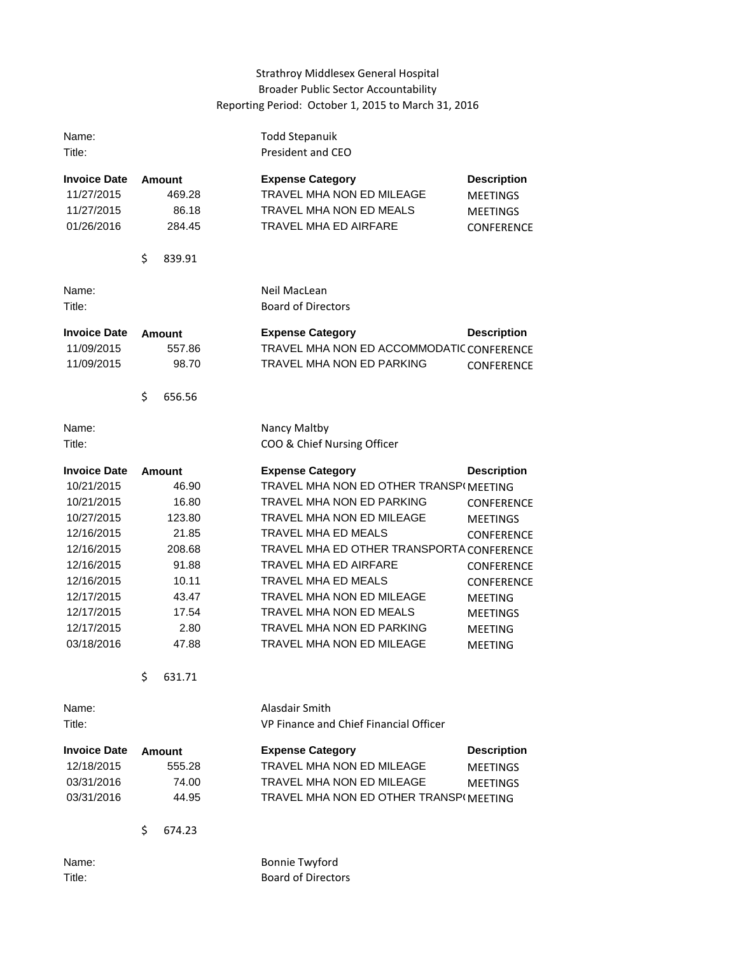## Strathroy Middlesex General Hospital Broader Public Sector Accountability Reporting Period: October 1, 2015 to March 31, 2016

| Name:<br>Title:                                                                                                                                                               |                                                                                                                           | <b>Todd Stepanuik</b><br>President and CEO                                                                                                                                                                                                                                                                                                                                                                                 |                                                                                                                                                                                                    |
|-------------------------------------------------------------------------------------------------------------------------------------------------------------------------------|---------------------------------------------------------------------------------------------------------------------------|----------------------------------------------------------------------------------------------------------------------------------------------------------------------------------------------------------------------------------------------------------------------------------------------------------------------------------------------------------------------------------------------------------------------------|----------------------------------------------------------------------------------------------------------------------------------------------------------------------------------------------------|
| <b>Invoice Date</b><br>11/27/2015<br>11/27/2015<br>01/26/2016                                                                                                                 | Amount<br>469.28<br>86.18<br>284.45                                                                                       | <b>Expense Category</b><br>TRAVEL MHA NON ED MILEAGE<br><b>TRAVEL MHA NON ED MEALS</b><br><b>TRAVEL MHA ED AIRFARE</b>                                                                                                                                                                                                                                                                                                     | <b>Description</b><br><b>MEETINGS</b><br><b>MEETINGS</b><br><b>CONFERENCE</b>                                                                                                                      |
|                                                                                                                                                                               | \$<br>839.91                                                                                                              |                                                                                                                                                                                                                                                                                                                                                                                                                            |                                                                                                                                                                                                    |
| Name:<br>Title:                                                                                                                                                               |                                                                                                                           | Neil MacLean<br><b>Board of Directors</b>                                                                                                                                                                                                                                                                                                                                                                                  |                                                                                                                                                                                                    |
| <b>Invoice Date</b><br>11/09/2015<br>11/09/2015                                                                                                                               | Amount<br>557.86<br>98.70<br>\$<br>656.56                                                                                 | <b>Expense Category</b><br>TRAVEL MHA NON ED ACCOMMODATIC CONFERENCE<br><b>TRAVEL MHA NON ED PARKING</b>                                                                                                                                                                                                                                                                                                                   | <b>Description</b><br><b>CONFERENCE</b>                                                                                                                                                            |
|                                                                                                                                                                               |                                                                                                                           |                                                                                                                                                                                                                                                                                                                                                                                                                            |                                                                                                                                                                                                    |
| Name:<br>Title:                                                                                                                                                               |                                                                                                                           | Nancy Maltby<br>COO & Chief Nursing Officer                                                                                                                                                                                                                                                                                                                                                                                |                                                                                                                                                                                                    |
| <b>Invoice Date</b><br>10/21/2015<br>10/21/2015<br>10/27/2015<br>12/16/2015<br>12/16/2015<br>12/16/2015<br>12/16/2015<br>12/17/2015<br>12/17/2015<br>12/17/2015<br>03/18/2016 | Amount<br>46.90<br>16.80<br>123.80<br>21.85<br>208.68<br>91.88<br>10.11<br>43.47<br>17.54<br>2.80<br>47.88<br>Ś<br>631.71 | <b>Expense Category</b><br>TRAVEL MHA NON ED OTHER TRANSPI MEETING<br><b>TRAVEL MHA NON ED PARKING</b><br>TRAVEL MHA NON ED MILEAGE<br><b>TRAVEL MHA ED MEALS</b><br>TRAVEL MHA ED OTHER TRANSPORTA CONFERENCE<br><b>TRAVEL MHA ED AIRFARE</b><br><b>TRAVEL MHA ED MEALS</b><br><b>TRAVEL MHA NON ED MILEAGE</b><br><b>TRAVEL MHA NON ED MEALS</b><br><b>TRAVEL MHA NON ED PARKING</b><br><b>TRAVEL MHA NON ED MILEAGE</b> | <b>Description</b><br><b>CONFERENCE</b><br><b>MEETINGS</b><br><b>CONFERENCE</b><br><b>CONFERENCE</b><br><b>CONFERENCE</b><br><b>MEETING</b><br><b>MEETINGS</b><br><b>MEETING</b><br><b>MEETING</b> |
|                                                                                                                                                                               |                                                                                                                           |                                                                                                                                                                                                                                                                                                                                                                                                                            |                                                                                                                                                                                                    |
| Name:<br>Title:                                                                                                                                                               |                                                                                                                           | Alasdair Smith<br>VP Finance and Chief Financial Officer                                                                                                                                                                                                                                                                                                                                                                   |                                                                                                                                                                                                    |
| <b>Invoice Date</b><br>12/18/2015<br>03/31/2016<br>03/31/2016                                                                                                                 | Amount<br>555.28<br>74.00<br>44.95<br>\$<br>674.23                                                                        | <b>Expense Category</b><br><b>TRAVEL MHA NON ED MILEAGE</b><br><b>TRAVEL MHA NON ED MILEAGE</b><br>TRAVEL MHA NON ED OTHER TRANSPI MEETING                                                                                                                                                                                                                                                                                 | <b>Description</b><br><b>MEETINGS</b><br><b>MEETINGS</b>                                                                                                                                           |
| Name:<br>Title:                                                                                                                                                               |                                                                                                                           | <b>Bonnie Twyford</b><br><b>Board of Directors</b>                                                                                                                                                                                                                                                                                                                                                                         |                                                                                                                                                                                                    |